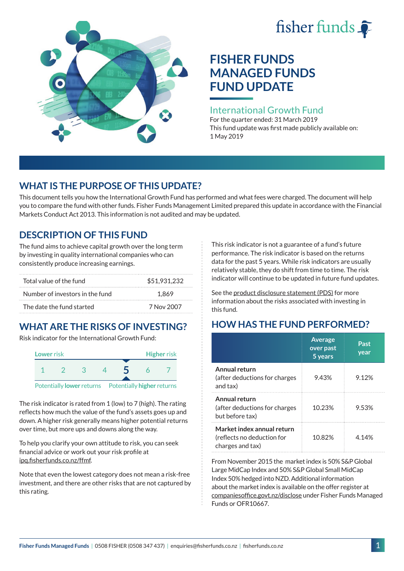# fisher funds  $\hat{\bullet}$



# **FISHER FUNDS MANAGED FUNDS FUND UPDATE**

### International Growth Fund

For the quarter ended: 31 March 2019 This fund update was first made publicly available on: 1 May 2019

# **WHAT IS THE PURPOSE OF THIS UPDATE?**

This document tells you how the International Growth Fund has performed and what fees were charged. The document will help you to compare the fund with other funds. Fisher Funds Management Limited prepared this update in accordance with the Financial Markets Conduct Act 2013. This information is not audited and may be updated.

# **DESCRIPTION OF THIS FUND**

The fund aims to achieve capital growth over the long term by investing in quality international companies who can consistently produce increasing earnings.

| Total value of the fund         | \$51,931,232 |
|---------------------------------|--------------|
| Number of investors in the fund | 1.869        |
| The date the fund started       | 7 Nov 2007   |

# **WHAT ARE THE RISKS OF INVESTING?**

Risk indicator for the International Growth Fund:



The risk indicator is rated from 1 (low) to 7 (high). The rating reflects how much the value of the fund's assets goes up and down. A higher risk generally means higher potential returns over time, but more ups and downs along the way.

To help you clarify your own attitude to risk, you can seek financial advice or work out your risk profile at [ipq.fisherfunds.co.nz/ffmf](https://ipq.fisherfunds.co.nz/ffmf).

Note that even the lowest category does not mean a risk-free investment, and there are other risks that are not captured by this rating.

This risk indicator is not a guarantee of a fund's future performance. The risk indicator is based on the returns data for the past 5 years. While risk indicators are usually relatively stable, they do shift from time to time. The risk indicator will continue to be updated in future fund updates.

See the [product disclosure statement \(PDS\)](https://fisherfunds.co.nz/assets/PDS/Fisher-Funds-Managed-Funds-PDS.pdf) for more information about the risks associated with investing in this fund.

# **HOW HAS THE FUND PERFORMED?**

|                                                                              | <b>Average</b><br>over past<br>5 years | Past<br>year |
|------------------------------------------------------------------------------|----------------------------------------|--------------|
| Annual return<br>(after deductions for charges<br>and tax)                   | 9.43%                                  | 9.12%        |
| Annual return<br>(after deductions for charges<br>but before tax)            | 10.23%                                 | 9.53%        |
| Market index annual return<br>(reflects no deduction for<br>charges and tax) | 10.82%                                 | 4.14%        |

From November 2015 the market index is 50% S&P Global Large MidCap Index and 50% S&P Global Small MidCap Index 50% hedged into NZD. Additional information about the market index is available on the offer register at [companiesoffice.govt.nz/disclose](http://companiesoffice.govt.nz/disclose) under Fisher Funds Managed Funds or OFR10667.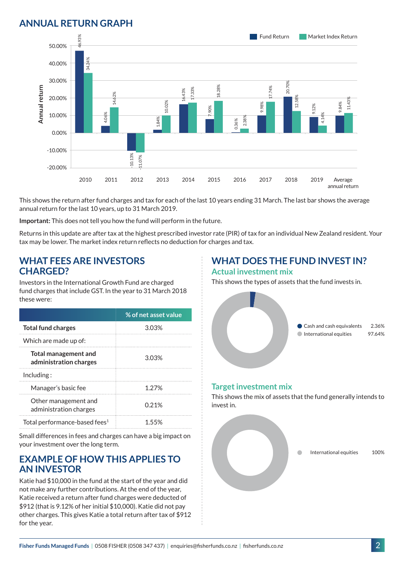## **ANNUAL RETURN GRAPH**



This shows the return after fund charges and tax for each of the last 10 years ending 31 March. The last bar shows the average annual return for the last 10 years, up to 31 March 2019.

**Important:** This does not tell you how the fund will perform in the future.

Returns in this update are after tax at the highest prescribed investor rate (PIR) of tax for an individual New Zealand resident. Your tax may be lower. The market index return reflects no deduction for charges and tax.

#### **WHAT FEES ARE INVESTORS CHARGED?**

Investors in the International Growth Fund are charged fund charges that include GST. In the year to 31 March 2018 these were:

|                                                       | % of net asset value |
|-------------------------------------------------------|----------------------|
| <b>Total fund charges</b>                             | 303%                 |
| Which are made up of:                                 |                      |
| <b>Total management and</b><br>administration charges | 3.03%                |
| Inding:                                               |                      |
| Manager's basic fee                                   | 1.27%                |
| Other management and<br>administration charges        | 0.21%                |
| Total performance-based fees <sup>1</sup>             | 1 55%                |

Small differences in fees and charges can have a big impact on your investment over the long term.

#### **EXAMPLE OF HOW THIS APPLIES TO AN INVESTOR**

Katie had \$10,000 in the fund at the start of the year and did not make any further contributions. At the end of the year, Katie received a return after fund charges were deducted of \$912 (that is 9.12% of her initial \$10,000). Katie did not pay other charges. This gives Katie a total return after tax of \$912 for the year.

# **WHAT DOES THE FUND INVEST IN?**

#### **Actual investment mix**

This shows the types of assets that the fund invests in.



#### **Target investment mix**

This shows the mix of assets that the fund generally intends to invest in.